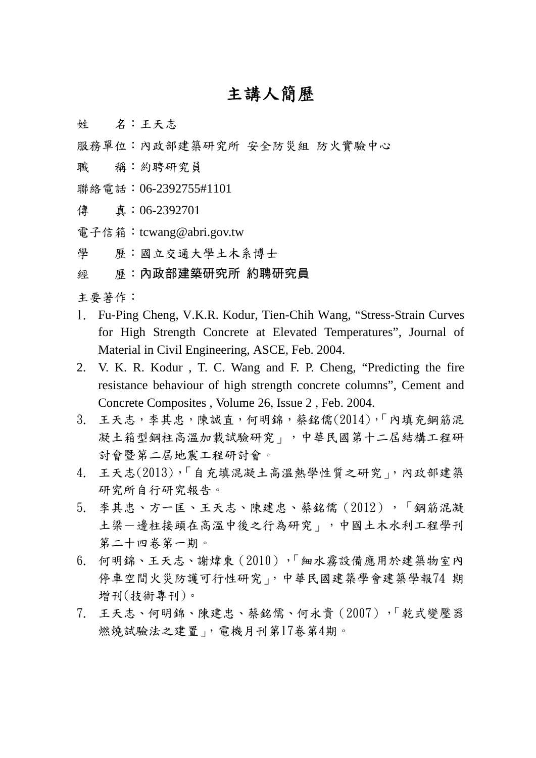## 主講人簡歷

- 姓 名:王天志
- 服務單位:內政部建築研究所 安全防災組 防火實驗中心
- 職 稱:約聘研究員
- 聯絡電話:06-2392755#1101
- 傳 真:06-2392701
- 電子信箱:tcwang@abri.gov.tw
- 學 歷:國立交通大學土木系博士
- 經 歷:內政部建築研究所 約聘研究員

主要著作:

- 1. Fu-Ping Cheng, V.K.R. Kodur, Tien-Chih Wang, "Stress-Strain Curves for High Strength Concrete at Elevated Temperatures", Journal of Material in Civil Engineering, ASCE, Feb. 2004.
- 2. V. K. R. Kodur , T. C. Wang and F. P. Cheng, "Predicting the fire resistance behaviour of high strength concrete columns", [Cement and](http://www.sciencedirect.com/science?_ob=JournalURL&_cdi=5561&_auth=y&_acct=C000050221&_version=1&_urlVersion=0&_userid=3180941&md5=5fcbba4d3636e3d10b727df6bf890bed)  [Concrete Composites](http://www.sciencedirect.com/science?_ob=JournalURL&_cdi=5561&_auth=y&_acct=C000050221&_version=1&_urlVersion=0&_userid=3180941&md5=5fcbba4d3636e3d10b727df6bf890bed) , [Volume 26, Issue 2](http://www.sciencedirect.com/science?_ob=IssueURL&_tockey=%23TOC%235561%232004%23999739997%23473369%23FLA%23display%23Volume_26,_Issue_2,_Pages_97-177_(February_2004)%2BMFire_Resistance%2BMEdited_by_V.K.R._Kodur%23tagged%23Volume%23first%3D26%252) , Feb. 2004.
- 3. 王天志,李其忠,陳誠直,何明錦,蔡銘儒(2014),「內填充鋼筋混 凝土箱型鋼柱高溫加載試驗研究」,中華民國第十二屆結構工程研 討會暨第二屆地震工程研討會。
- 4. 王天志(2013),「自充填混凝土高溫熱學性質之研究」,內政部建築 研究所自行研究報告。
- 5. 李其忠、方一匡、王天志、陳建忠、蔡銘儒(2012),「鋼筋混凝 土梁一邊柱接頭在高溫中後之行為研究」,中國土木水利工程學刊 第二十四卷第一期。
- 6. 何明錦、王天志、謝煒東(2010),「細水霧設備應用於建築物室內 停車空間火災防護可行性研究」,中華民國建築學會建築學報74 期 增刊(技術專刊)。
- 7. 王天志、何明錦、陳建忠、蔡銘儒、何永貴(2007),「乾式變壓器 燃燒試驗法之建置」,電機月刊第17卷第4期。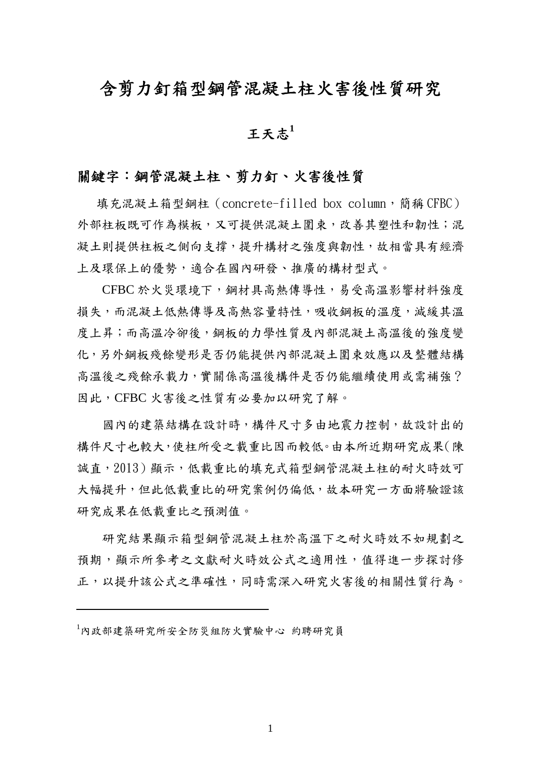## 含剪力釘箱型鋼管混凝土柱火害後性質研究

## 王天志 $1$

#### 關鍵字:鋼管混凝土柱、剪力釘、火害後性質

填充混凝土箱型鋼柱 (concrete-filled box column,簡稱 CFBC) 外部柱板既可作為模板,又可提供混凝土圍束,改善其塑性和韌性;混 凝土則提供柱板之側向支撐,提升構材之強度與韌性,故相當具有經濟 上及環保上的優勢,適合在國內研發、推廣的構材型式。

CFBC 於火災環境下,鋼材具高熱傳導性,易受高溫影響材料強度 損失,而混凝土低熱傳導及高熱容量特性,吸收鋼板的溫度,減緩其溫 度上昇;而高溫冷卻後,鋼板的力學性質及內部混凝土高溫後的強度變 化,另外鋼板殘餘變形是否仍能提供內部混凝土圍束效應以及整體結構 高溫後之殘餘承載力,實關係高溫後構件是否仍能繼續使用或需補強? 因此,CFBC 火害後之性質有必要加以研究了解。

國內的建築結構在設計時,構件尺寸多由地震力控制,故設計出的 構件尺寸也較大,使柱所受之載重比因而較低。由本所近期研究成果(陳 誠直, 2013)顯示, 低載重比的填充式箱型鋼管混凝土柱的耐火時效可 大幅提升,但此低載重比的研究案例仍偏低,故本研究一方面將驗證該 研究成果在低載重比之預測值。

研究結果顯示箱型鋼管混凝土柱於高溫下之耐火時效不如規劃之 預期,顯示所參考之文獻耐火時效公式之適用性,值得進一步探討修 正,以提升該公式之準確性,同時需深入研究火害後的相關性質行為。

<sup>1</sup> 內政部建築研究所安全防災組防火實驗中心 約聘研究員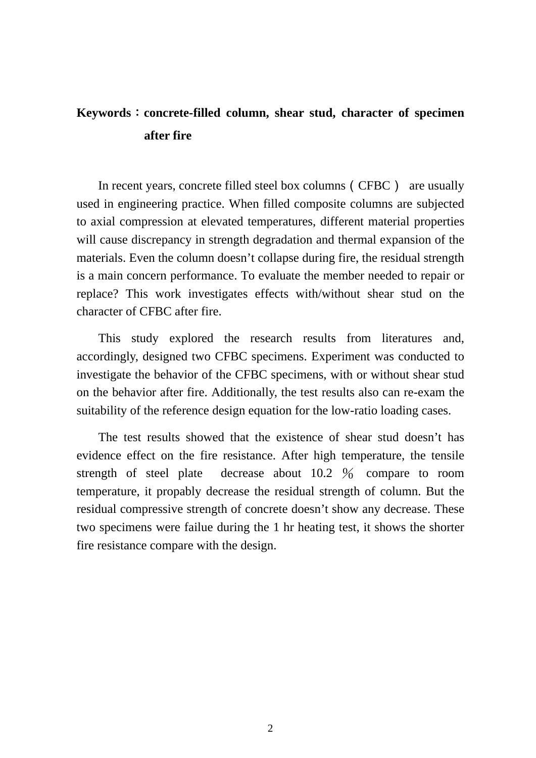## **Keywords**:**concrete-filled column, shear stud, character of specimen after fire**

In recent years, concrete filled steel box columns (CFBC) are usually used in engineering practice. When filled composite columns are subjected to axial compression at elevated temperatures, different material properties will cause discrepancy in strength degradation and thermal expansion of the materials. Even the column doesn't collapse during fire, the residual strength is a main concern performance. To evaluate the member needed to repair or replace? This work investigates effects with/without shear stud on the character of CFBC after fire.

This study explored the research results from literatures and, accordingly, designed two CFBC specimens. Experiment was conducted to investigate the behavior of the CFBC specimens, with or without shear stud on the behavior after fire. Additionally, the test results also can re-exam the suitability of the reference design equation for the low-ratio loading cases.

The test results showed that the existence of shear stud doesn't has evidence effect on the fire resistance. After high temperature, the tensile strength of steel plate decrease about 10.2 % compare to room temperature, it propably decrease the residual strength of column. But the residual compressive strength of concrete doesn't show any decrease. These two specimens were failue during the 1 hr heating test, it shows the shorter fire resistance compare with the design.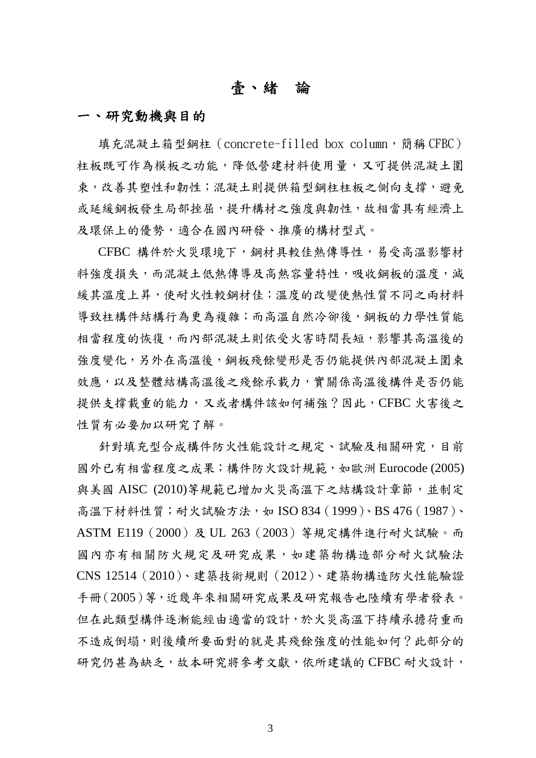### 壹、緒論

#### 一、研究動機與目的

填充混凝土箱型鋼柱 (concrete-filled box column, 簡稱 CFBC) 柱板既可作為模板之功能,降低營建材料使用量,又可提供混凝土圍 束,改善其塑性和韌性;混凝土則提供箱型鋼柱柱板之側向支撐,避免 或延緩鋼板發生局部挫屈,提升構材之強度與韌性,故相當具有經濟上 及環保上的優勢,適合在國內研發、推廣的構材型式。

 CFBC 構件於火災環境下,鋼材具較佳熱傳導性,易受高溫影響材 料強度損失,而混凝土低熱傳導及高熱容量特性,吸收鋼板的溫度,減 緩其溫度上昇,使耐火性較鋼材佳;溫度的改變使熱性質不同之兩材料 導致柱構件結構行為更為複雜;而高溫自然冷卻後,鋼板的力學性質能 相當程度的恢復,而內部混凝土則依受火害時間長短,影響其高溫後的 強度變化,另外在高溫後,鋼板殘餘變形是否仍能提供內部混凝土圍束 效應,以及整體結構高溫後之殘餘承載力,實關係高溫後構件是否仍能 提供支撐載重的能力,又或者構件該如何補強?因此,CFBC 火害後之 性質有必要加以研究了解。

針對填充型合成構件防火性能設計之規定、試驗及相關研究,目前 國外已有相當程度之成果;構件防火設計規範,如歐洲 Eurocode (2005) 與美國 AISC (2010)等規範已增加火災高溫下之結構設計章節,並制定 高溫下材料性質;耐火試驗方法,如 ISO 834(1999)、BS 476(1987)、 ASTM E119(2000)及 UL 263(2003)等規定構件進行耐火試驗。而 國內亦有相關防火規定及研究成果,如建築物構造部分耐火試驗法 CNS 12514(2010)、建築技術規則(2012)、建築物構造防火性能驗證 手冊(2005)等,近幾年來相關研究成果及研究報告也陸續有學者發表。 但在此類型構件逐漸能經由適當的設計,於火災高溫下持續承擔荷重而 不造成倒塌,則後續所要面對的就是其殘餘強度的性能如何?此部分的 研究仍甚為缺乏,故本研究將參考文獻,依所建議的 CFBC 耐火設計,

3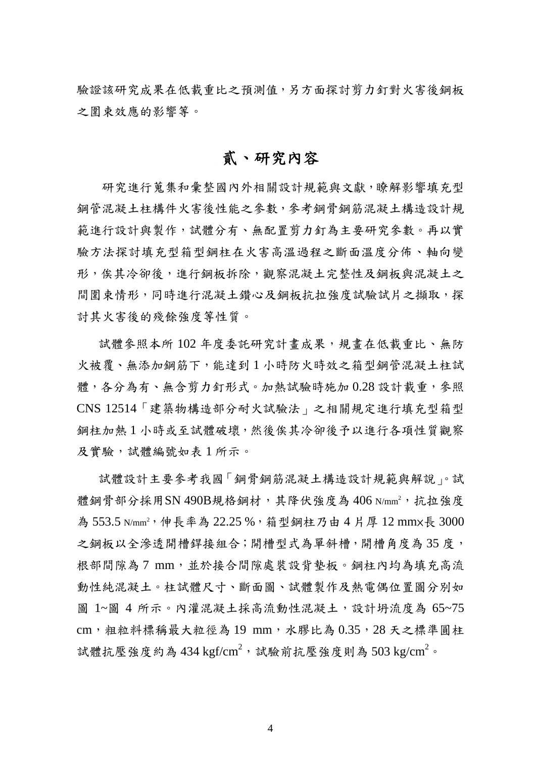驗證該研究成果在低載重比之預測值,另方面探討剪力釘對火害後鋼板 之圍束效應的影響等。

#### 貳、研究內容

 研究進行蒐集和彙整國內外相關設計規範與文獻,瞭解影響填充型 鋼管混凝土柱構件火害後性能之參數,參考鋼骨鋼筋混凝土構造設計規 範進行設計與製作,試體分有、無配置剪力釘為主要研究參數。再以實 驗方法探討填充型箱型鋼柱在火害高溫過程之斷面溫度分佈、軸向變 形,俟其冷卻後,進行鋼板拆除,觀察混凝土完整性及鋼板與混凝土之 間圍束情形,同時進行混凝土鑽心及鋼板抗拉強度試驗試片之擷取,探 討其火害後的殘餘強度等性質。

試體參照本所102年度委託研究計畫成果,規書在低載重比、無防 火被覆、無添加鋼筋下,能達到 1 小時防火時效之箱型鋼管混凝土柱試 體,各分為有、無含剪力釘形式。加熱試驗時施加0.28設計載重,參照 CNS 12514「建築物構造部分耐火試驗法」之相關規定進行填充型箱型 鋼柱加熱 1 小時或至試體破壞,然後俟其冷卻後予以進行各項性質觀察 及實驗,試體編號如表 1 所示。

試體設計主要參考我國「鋼骨鋼筋混凝土構造設計規範與解說」。試 體鋼骨部分採用SN 490B規格鋼材,其降伏強度為 406 N/mm<sup>2</sup>, 抗拉強度 為 553.5 N/mm<sup>2,</sup>伸長率為 22.25%,箱型鋼柱乃由4片厚 12 mmx長 3000 之鋼板以全滲透開槽銲接組合;開槽型式為單斜槽,開槽角度為35度, 根部間隙為 7 mm, 並於接合間隙處裝設背墊板。鋼柱內均為填充高流 動性純混凝土。柱試體尺寸、斷面圖、試體製作及熱電偶位置圖分別如 圖 1~圖 4 所示。內灌混凝土採高流動性混凝土,設計坍流度為 65~75 cm, 粗粒料標稱最大粒徑為 19 mm, 水膠比為 0.35, 28 天之標準圓柱 試體抗壓強度約為 434 kgf/cm<sup>2</sup>,試驗前抗壓強度則為 503 kg/cm<sup>2</sup>。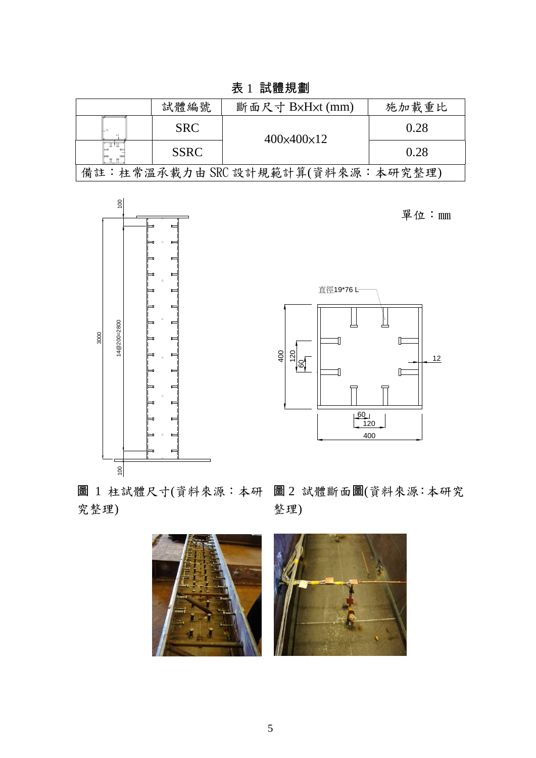表 1 試體規劃

|                                  | 試體編號        | 斷面尺寸 BxHxt (mm)            | 施加載重比 |
|----------------------------------|-------------|----------------------------|-------|
|                                  | <b>SRC</b>  | $400 \times 400 \times 12$ | 0.28  |
|                                  | <b>SSRC</b> |                            | 0.28  |
| 備註:柱常溫承載力由 SRC設計規範計算(資料來源:本研究整理) |             |                            |       |



單位:mm



圖 1 柱試體尺寸(資料來源:本研 圖 2 試體斷面圖(資料來源:本研究 究整理)

整理)

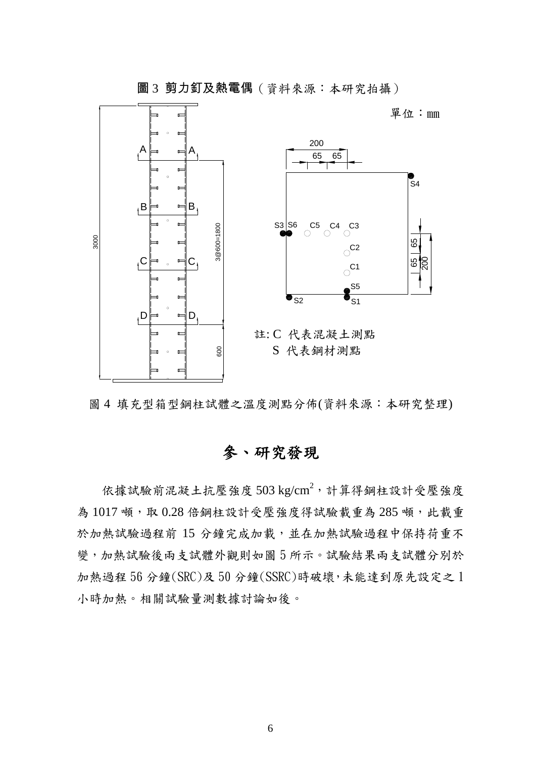

圖 3 剪力釘及熱電偶(資料來源:本研究拍攝)

圖 4 填充型箱型鋼柱試體之溫度測點分佈(資料來源:本研究整理)

# 參、研究發現

依據試驗前混凝土抗壓強度 503 kg/cm<sup>2</sup>, 計算得鋼柱設計受壓強度 為1017 噸,取 0.28 倍鋼柱設計受壓強度得試驗載重為 285 噸,此載重 於加熱試驗過程前 15 分鐘完成加載,並在加熱試驗過程中保持荷重不 變,加熱試驗後兩支試體外觀則如圖 5 所示。試驗結果兩支試體分別於 加熱過程 56 分鐘(SRC)及 50 分鐘(SSRC)時破壞,未能達到原先設定之 1 小時加熱。相關試驗量測數據討論如後。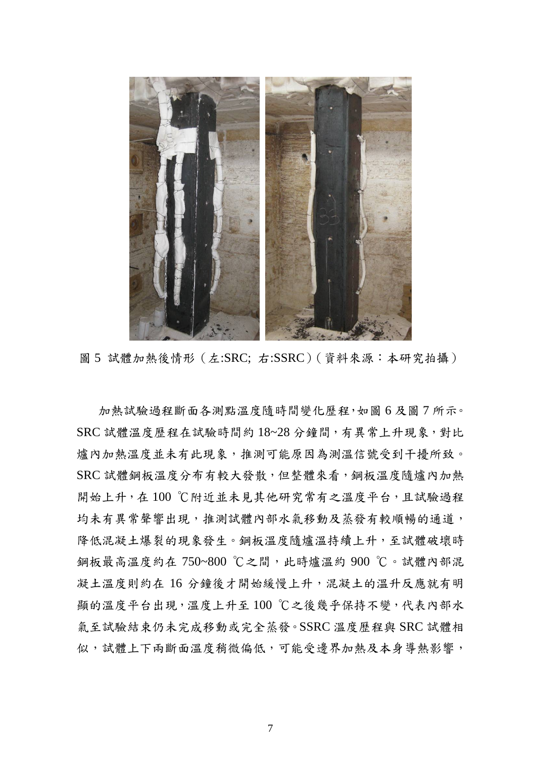

圖 5 試體加熱後情形(左:SRC; 右:SSRC)(資料來源:本研究拍攝)

加熱試驗過程斷面各測點溫度隨時間變化歷程,如圖 6 及圖 7 所示。 SRC 試體溫度歷程在試驗時間約 18~28 分鐘間,有異常上升現象,對比 爐內加熱溫度並未有此現象,推測可能原因為測溫信號受到干擾所致。 SRC 試體鋼板溫度分布有較大發散,但整體來看,鋼板溫度隨爐內加熱 開始上升,在100℃附近並未見其他研究常有之溫度平台,且試驗過程 均未有異常聲響出現,推測試體內部水氣移動及蒸發有較順暢的通道, 降低混凝土爆裂的現象發生。鋼板溫度隨爐溫持續上升,至試體破壞時 鋼板最高溫度約在 750~800 ℃之間,此時爐溫約 900 ℃。試體內部混 凝土溫度則約在 16 分鐘後才開始緩慢上升,混凝土的溫升反應就有明 顯的溫度平台出現,溫度上升至100℃之後幾乎保持不變,代表內部水 氣至試驗結束仍未完成移動或完全蒸發。SSRC 溫度歷程與 SRC 試體相 似,試體上下兩斷面溫度稍微偏低,可能受邊界加熱及本身導熱影響,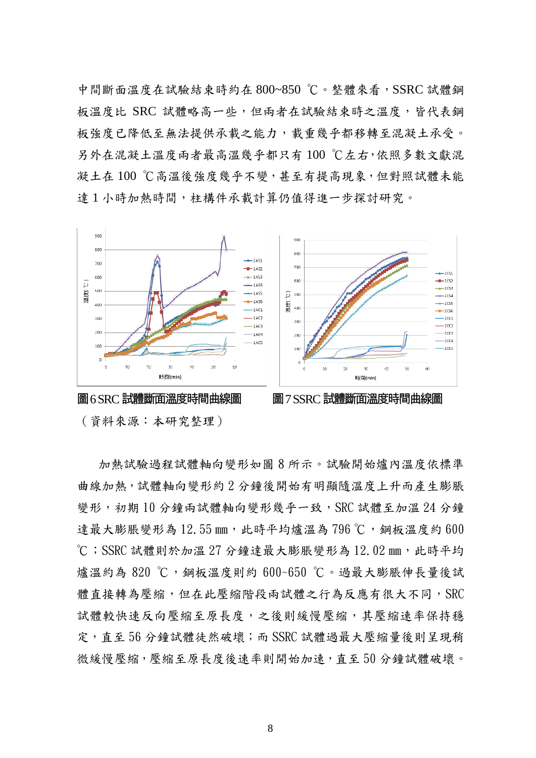中間斷面溫度在試驗結束時約在 800~850 ℃。整體來看,SSRC 試體鋼 板溫度比 SRC 試體略高一些,但兩者在試驗結束時之溫度,皆代表鋼 板強度已降低至無法提供承載之能力,載重幾乎都移轉至混凝土承受。 另外在混凝土溫度兩者最高溫幾乎都只有 100 ℃左右,依照多數文獻混 凝土在 100 ℃高溫後強度幾乎不變,甚至有提高現象,但對照試體未能 達1小時加熱時間,柱構件承載計算仍值得進一步探討研究。



(資料來源:本研究整理)

加熱試驗過程試體軸向變形如圖 8 所示。試驗開始爐內溫度依標準 曲線加熱,試體軸向變形約 2 分鐘後開始有明顯隨溫度上升而產生膨脹 變形,初期 10 分鐘兩試體軸向變形幾乎一致, SRC 試體至加溫 24 分鐘 達最大膨脹變形為 12.55 mm, 此時平均爐溫為 796 ℃, 鋼板溫度約 600  $^{\circ}$ C; SSRC 試體則於加溫 27 分鐘達最大膨脹變形為 12.02 mm,此時平均 爐溫約為 820 ℃, 鋼板溫度則約 600~650 ℃。過最大膨脹伸長量後試 體直接轉為壓縮,但在此壓縮階段兩試體之行為反應有很大不同,SRC 試體較快速反向壓縮至原長度,之後則緩慢壓縮,其壓縮速率保持穩 定,直至 56 分鐘試體徒然破壞;而 SSRC 試體過最大壓縮量後則呈現稍 微緩慢壓縮,壓縮至原長度後速率則開始加速,直至 50 分鐘試體破壞。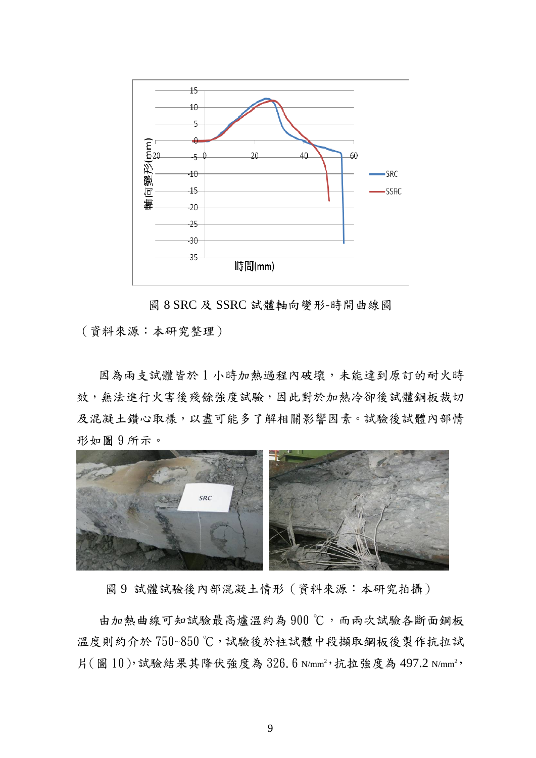

圖 8 SRC 及 SSRC 試體軸向變形-時間曲線圖

(資料來源:本研究整理)

因為兩支試體皆於 1 小時加熱過程內破壞,未能達到原訂的耐火時 效,無法進行火害後殘餘強度試驗,因此對於加熱冷卻後試體鋼板裁切 及混凝土鑽心取樣,以盡可能多了解相關影響因素。試驗後試體內部情 形如圖 9 所示。



圖 9 試體試驗後內部混凝土情形(資料來源:本研究拍攝)

由加熱曲線可知試驗最高爐溫約為 900 ℃,而兩次試驗各斷面鋼板 溫度則約介於 750~850℃,試驗後於柱試體中段擷取鋼板後製作抗拉試 片(圖 10),試驗結果其降伏強度為 326.6 N/mm<sup>2</sup>,抗拉強度為 497.2 N/mm<sup>2</sup>,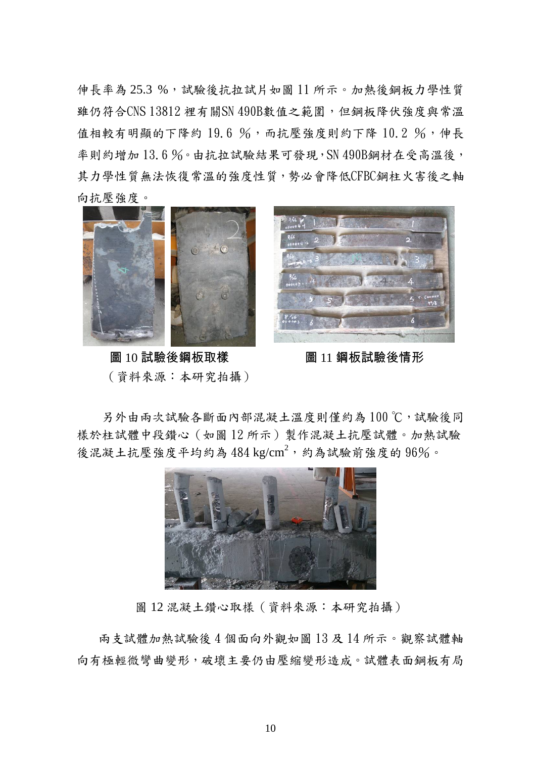伸長率為 25.3 %,試驗後抗拉試片如圖 11 所示。加熱後鋼板力學性質 雖仍符合CNS 13812 裡有關SN 490B數值之範圍,但鋼板降伏強度與常溫 值相較有明顯的下降約 19.6 %,而抗壓強度則約下降 10.2 %,伸長 率則約增加 13.6%。由抗拉試驗結果可發現,SN 490B鋼材在受高溫後, 其力學性質無法恢復常溫的強度性質,勢必會降低CFBC鋼柱火害後之軸 向抗壓強度。



圖 10 試驗後鋼板取樣 调 21 圖 11 鋼板試驗後情形 (資料來源:本研究拍攝)



另外由兩次試驗各斷面內部混凝土溫度則僅約為100℃,試驗後同 樣於柱試體中段鑽心(如圖 12 所示)製作混凝土抗壓試體。加熱試驗 後混凝土抗壓強度平均約為  $484 \text{ kg/cm}^2$ , 約為試驗前強度的  $96\%$ 。



圖 12 混凝土鑽心取樣(資料來源:本研究拍攝)

兩支試體加熱試驗後 4 個面向外觀如圖 13 及 14 所示。觀察試體軸 向有極輕微彎曲變形,破壞主要仍由壓縮變形造成。試體表面鋼板有局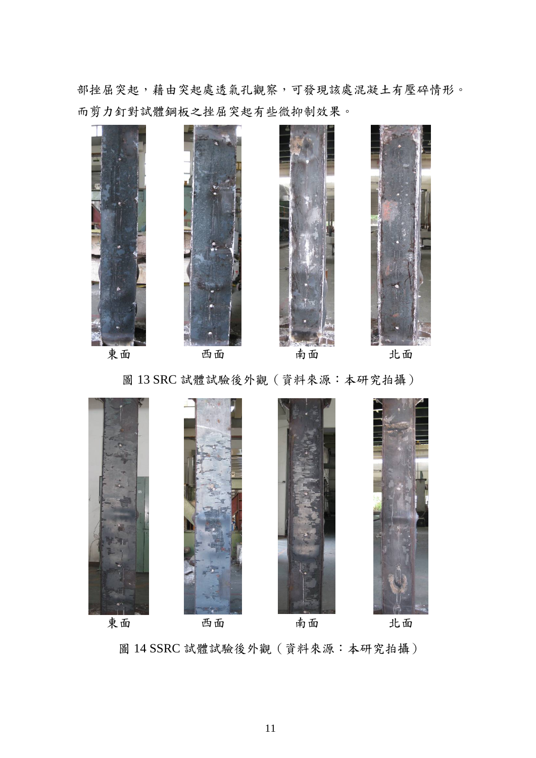部挫屈突起,藉由突起處透氣孔觀察,可發現該處混凝土有壓碎情形。 而剪力釘對試體鋼板之挫屈突起有些微抑制效果。



圖 13 SRC 試體試驗後外觀(資料來源:本研究拍攝)



圖 14 SSRC 試體試驗後外觀(資料來源:本研究拍攝)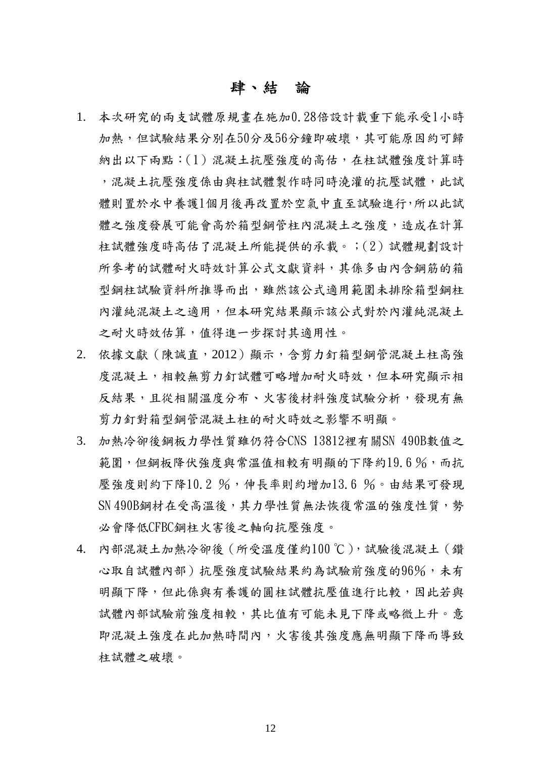#### 肆、結論

- 1. 本次研究的兩支試體原規畫在施加0.28倍設計載重下能承受1小時 加熱,但試驗結果分別在50分及56分鐘即破壞,其可能原因約可歸 納出以下兩點:(1)混凝土抗壓強度的高估,在柱試體強度計算時 ,混凝土抗壓強度係由與柱試體製作時同時澆灌的抗壓試體,此試 體則置於水中養護1個月後再改置於空氣中直至試驗進行,所以此試 體之強度發展可能會高於箱型鋼管柱內混凝土之強度,造成在計算 柱試體強度時高估了混凝土所能提供的承載。;(2)試體規劃設計 所參考的試體耐火時效計算公式文獻資料,其係多由內含鋼筋的箱 型鋼柱試驗資料所推導而出,雖然該公式適用範圍未排除箱型鋼柱 內灌純混凝土之適用,但本研究結果顯示該公式對於內灌純混凝土 之耐火時效估算,值得進一步探討其適用性。
- 2. 依據文獻(陳誠直,2012)顯示,含剪力釘箱型鋼管混凝土柱高強 度混凝土,相較無剪力釘試體可略增加耐火時效,但本研究顯示相 反結果,且從相關溫度分布、火害後材料強度試驗分析,發現有無 剪力釘對箱型鋼管混凝土柱的耐火時效之影響不明顯。
- 3. 加熱冷卻後鋼板力學性質雖仍符合CNS 13812裡有關SN 490B數值之 範圍,但鋼板降伏強度與常溫值相較有明顯的下降約19.6%,而抗 壓強度則約下降10.2 %,伸長率則約增加13.6 %。由結果可發現 SN 490B鋼材在受高溫後,其力學性質無法恢復常溫的強度性質,勢 必會降低CFBC鋼柱火害後之軸向抗壓強度。
- 4. 內部混凝土加熱冷卻後(所受溫度僅約100℃),試驗後混凝土(鑽 心取自試體內部)抗壓強度試驗結果約為試驗前強度的96%,未有 明顯下降,但此係與有養護的圓柱試體抗壓值進行比較,因此若與 試體內部試驗前強度相較,其比值有可能未見下降或略微上升。意 即混凝土強度在此加熱時間內,火害後其強度應無明顯下降而導致 柱試體之破壞。